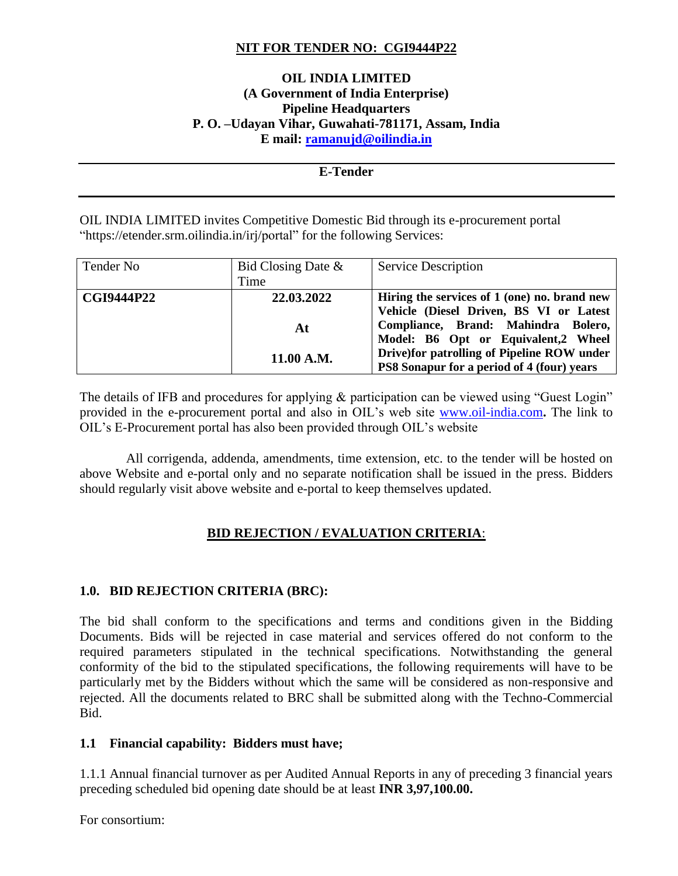## **NIT FOR TENDER NO: CGI9444P22**

## **OIL INDIA LIMITED (A Government of India Enterprise) Pipeline Headquarters P. O. –Udayan Vihar, Guwahati-781171, Assam, India E mail: [ramanujd@oilindia.in](mailto:ramanujd@oilindia.in)**

## **E-Tender**

OIL INDIA LIMITED invites Competitive Domestic Bid through its e-procurement portal "https://etender.srm.oilindia.in/irj/portal" for the following Services:

| Tender No         | Bid Closing Date $\&$ | <b>Service Description</b>                        |
|-------------------|-----------------------|---------------------------------------------------|
|                   | Time                  |                                                   |
| <b>CGI9444P22</b> | 22.03.2022            | Hiring the services of 1 (one) no. brand new      |
|                   |                       | Vehicle (Diesel Driven, BS VI or Latest           |
|                   | At                    | Compliance, Brand: Mahindra Bolero,               |
|                   |                       | Model: B6 Opt or Equivalent,2 Wheel               |
|                   | 11.00 A.M.            | Drive) for patrolling of Pipeline ROW under       |
|                   |                       | <b>PS8 Sonapur for a period of 4 (four) years</b> |

The details of IFB and procedures for applying & participation can be viewed using "Guest Login" provided in the e-procurement portal and also in OIL's web site [www.oil-india.com](http://www.oil-india.com/)**.** The link to OIL's E-Procurement portal has also been provided through OIL's website

 All corrigenda, addenda, amendments, time extension, etc. to the tender will be hosted on above Website and e-portal only and no separate notification shall be issued in the press. Bidders should regularly visit above website and e-portal to keep themselves updated.

## **BID REJECTION / EVALUATION CRITERIA**:

## **1.0. BID REJECTION CRITERIA (BRC):**

The bid shall conform to the specifications and terms and conditions given in the Bidding Documents. Bids will be rejected in case material and services offered do not conform to the required parameters stipulated in the technical specifications. Notwithstanding the general conformity of the bid to the stipulated specifications, the following requirements will have to be particularly met by the Bidders without which the same will be considered as non-responsive and rejected. All the documents related to BRC shall be submitted along with the Techno-Commercial Bid.

## **1.1 Financial capability: Bidders must have;**

1.1.1 Annual financial turnover as per Audited Annual Reports in any of preceding 3 financial years preceding scheduled bid opening date should be at least **INR 3,97,100.00.**

For consortium: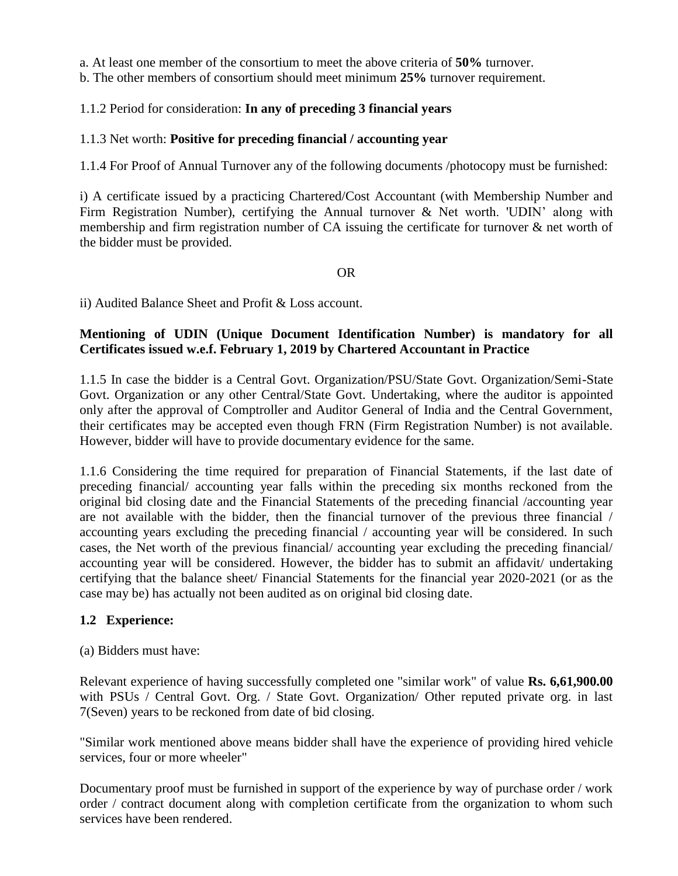a. At least one member of the consortium to meet the above criteria of **50%** turnover.

b. The other members of consortium should meet minimum **25%** turnover requirement.

## 1.1.2 Period for consideration: **In any of preceding 3 financial years**

## 1.1.3 Net worth: **Positive for preceding financial / accounting year**

1.1.4 For Proof of Annual Turnover any of the following documents /photocopy must be furnished:

i) A certificate issued by a practicing Chartered/Cost Accountant (with Membership Number and Firm Registration Number), certifying the Annual turnover & Net worth. 'UDIN' along with membership and firm registration number of CA issuing the certificate for turnover & net worth of the bidder must be provided.

#### OR

ii) Audited Balance Sheet and Profit & Loss account.

## **Mentioning of UDIN (Unique Document Identification Number) is mandatory for all Certificates issued w.e.f. February 1, 2019 by Chartered Accountant in Practice**

1.1.5 In case the bidder is a Central Govt. Organization/PSU/State Govt. Organization/Semi-State Govt. Organization or any other Central/State Govt. Undertaking, where the auditor is appointed only after the approval of Comptroller and Auditor General of India and the Central Government, their certificates may be accepted even though FRN (Firm Registration Number) is not available. However, bidder will have to provide documentary evidence for the same.

1.1.6 Considering the time required for preparation of Financial Statements, if the last date of preceding financial/ accounting year falls within the preceding six months reckoned from the original bid closing date and the Financial Statements of the preceding financial /accounting year are not available with the bidder, then the financial turnover of the previous three financial / accounting years excluding the preceding financial / accounting year will be considered. In such cases, the Net worth of the previous financial/ accounting year excluding the preceding financial/ accounting year will be considered. However, the bidder has to submit an affidavit/ undertaking certifying that the balance sheet/ Financial Statements for the financial year 2020-2021 (or as the case may be) has actually not been audited as on original bid closing date.

## **1.2 Experience:**

## (a) Bidders must have:

Relevant experience of having successfully completed one "similar work" of value **Rs. 6,61,900.00**  with PSUs / Central Govt. Org. / State Govt. Organization/ Other reputed private org. in last 7(Seven) years to be reckoned from date of bid closing.

"Similar work mentioned above means bidder shall have the experience of providing hired vehicle services, four or more wheeler"

Documentary proof must be furnished in support of the experience by way of purchase order / work order / contract document along with completion certificate from the organization to whom such services have been rendered.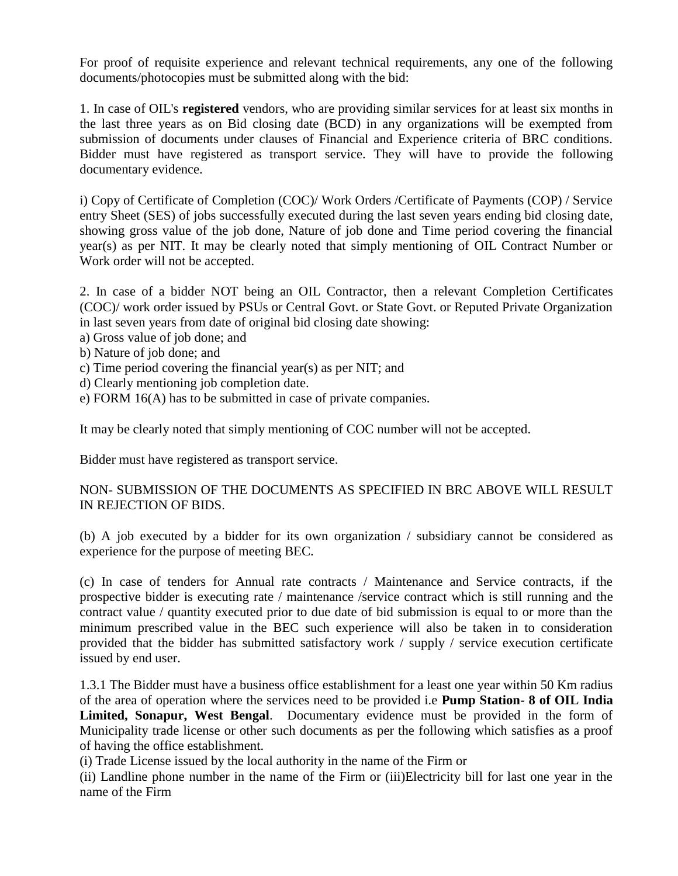For proof of requisite experience and relevant technical requirements, any one of the following documents/photocopies must be submitted along with the bid:

1. In case of OIL's **registered** vendors, who are providing similar services for at least six months in the last three years as on Bid closing date (BCD) in any organizations will be exempted from submission of documents under clauses of Financial and Experience criteria of BRC conditions. Bidder must have registered as transport service. They will have to provide the following documentary evidence.

i) Copy of Certificate of Completion (COC)/ Work Orders /Certificate of Payments (COP) / Service entry Sheet (SES) of jobs successfully executed during the last seven years ending bid closing date, showing gross value of the job done, Nature of job done and Time period covering the financial year(s) as per NIT. It may be clearly noted that simply mentioning of OIL Contract Number or Work order will not be accepted.

2. In case of a bidder NOT being an OIL Contractor, then a relevant Completion Certificates (COC)/ work order issued by PSUs or Central Govt. or State Govt. or Reputed Private Organization in last seven years from date of original bid closing date showing:

- a) Gross value of job done; and
- b) Nature of job done; and
- c) Time period covering the financial year(s) as per NIT; and
- d) Clearly mentioning job completion date.
- e) FORM 16(A) has to be submitted in case of private companies.

It may be clearly noted that simply mentioning of COC number will not be accepted.

Bidder must have registered as transport service.

## NON- SUBMISSION OF THE DOCUMENTS AS SPECIFIED IN BRC ABOVE WILL RESULT IN REJECTION OF BIDS.

(b) A job executed by a bidder for its own organization / subsidiary cannot be considered as experience for the purpose of meeting BEC.

(c) In case of tenders for Annual rate contracts / Maintenance and Service contracts, if the prospective bidder is executing rate / maintenance /service contract which is still running and the contract value / quantity executed prior to due date of bid submission is equal to or more than the minimum prescribed value in the BEC such experience will also be taken in to consideration provided that the bidder has submitted satisfactory work / supply / service execution certificate issued by end user.

1.3.1 The Bidder must have a business office establishment for a least one year within 50 Km radius of the area of operation where the services need to be provided i.e **Pump Station- 8 of OIL India Limited, Sonapur, West Bengal**. Documentary evidence must be provided in the form of Municipality trade license or other such documents as per the following which satisfies as a proof of having the office establishment.

(i) Trade License issued by the local authority in the name of the Firm or

(ii) Landline phone number in the name of the Firm or (iii)Electricity bill for last one year in the name of the Firm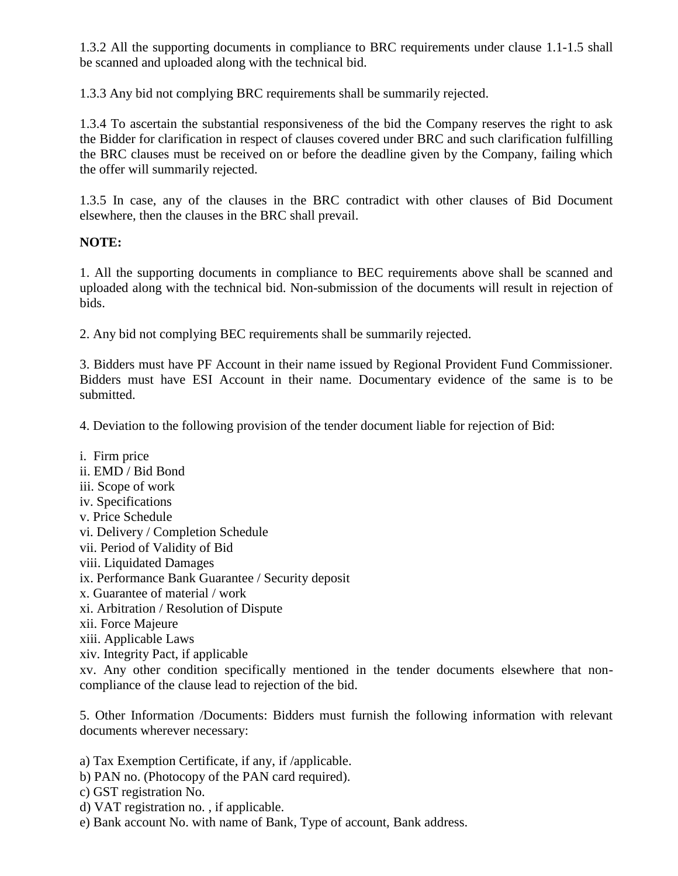1.3.2 All the supporting documents in compliance to BRC requirements under clause 1.1-1.5 shall be scanned and uploaded along with the technical bid.

1.3.3 Any bid not complying BRC requirements shall be summarily rejected.

1.3.4 To ascertain the substantial responsiveness of the bid the Company reserves the right to ask the Bidder for clarification in respect of clauses covered under BRC and such clarification fulfilling the BRC clauses must be received on or before the deadline given by the Company, failing which the offer will summarily rejected.

1.3.5 In case, any of the clauses in the BRC contradict with other clauses of Bid Document elsewhere, then the clauses in the BRC shall prevail.

## **NOTE:**

1. All the supporting documents in compliance to BEC requirements above shall be scanned and uploaded along with the technical bid. Non-submission of the documents will result in rejection of bids.

2. Any bid not complying BEC requirements shall be summarily rejected.

3. Bidders must have PF Account in their name issued by Regional Provident Fund Commissioner. Bidders must have ESI Account in their name. Documentary evidence of the same is to be submitted.

4. Deviation to the following provision of the tender document liable for rejection of Bid:

i. Firm price ii. EMD / Bid Bond iii. Scope of work iv. Specifications v. Price Schedule vi. Delivery / Completion Schedule vii. Period of Validity of Bid viii. Liquidated Damages ix. Performance Bank Guarantee / Security deposit x. Guarantee of material / work xi. Arbitration / Resolution of Dispute xii. Force Majeure xiii. Applicable Laws xiv. Integrity Pact, if applicable xv. Any other condition specifically mentioned in the tender documents elsewhere that noncompliance of the clause lead to rejection of the bid.

5. Other Information /Documents: Bidders must furnish the following information with relevant documents wherever necessary:

a) Tax Exemption Certificate, if any, if /applicable.

- b) PAN no. (Photocopy of the PAN card required).
- c) GST registration No.
- d) VAT registration no. , if applicable.
- e) Bank account No. with name of Bank, Type of account, Bank address.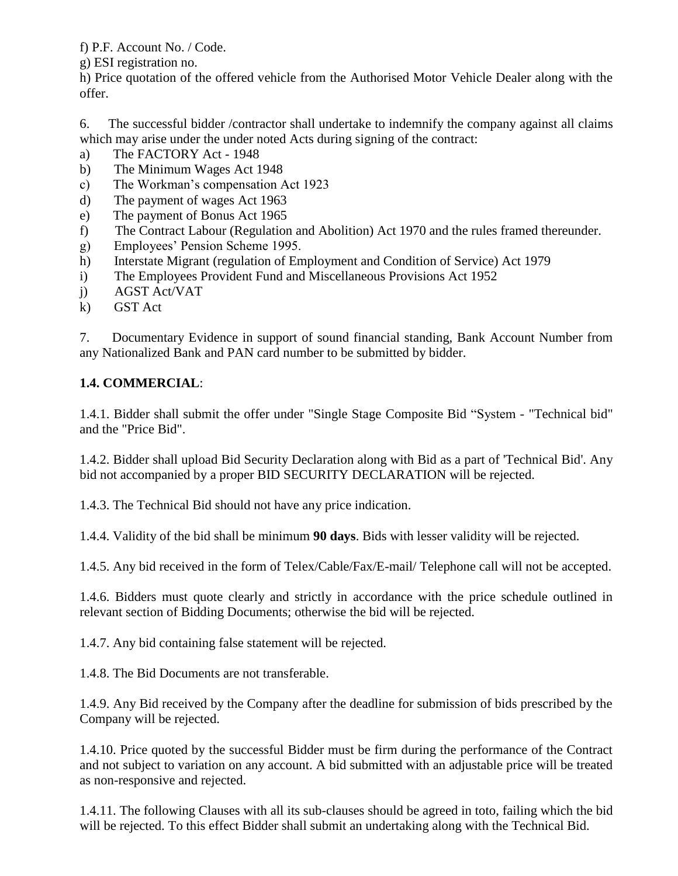f) P.F. Account No. / Code.

g) ESI registration no.

h) Price quotation of the offered vehicle from the Authorised Motor Vehicle Dealer along with the offer.

6. The successful bidder /contractor shall undertake to indemnify the company against all claims which may arise under the under noted Acts during signing of the contract:

- a) The FACTORY Act 1948
- b) The Minimum Wages Act 1948
- c) The Workman's compensation Act 1923
- d) The payment of wages Act 1963
- e) The payment of Bonus Act 1965
- f) The Contract Labour (Regulation and Abolition) Act 1970 and the rules framed thereunder.
- g) Employees' Pension Scheme 1995.
- h) Interstate Migrant (regulation of Employment and Condition of Service) Act 1979
- i) The Employees Provident Fund and Miscellaneous Provisions Act 1952
- j) AGST Act/VAT
- k) GST Act

7. Documentary Evidence in support of sound financial standing, Bank Account Number from any Nationalized Bank and PAN card number to be submitted by bidder.

# **1.4. COMMERCIAL**:

1.4.1. Bidder shall submit the offer under "Single Stage Composite Bid "System - "Technical bid" and the "Price Bid".

1.4.2. Bidder shall upload Bid Security Declaration along with Bid as a part of 'Technical Bid'. Any bid not accompanied by a proper BID SECURITY DECLARATION will be rejected.

1.4.3. The Technical Bid should not have any price indication.

1.4.4. Validity of the bid shall be minimum **90 days**. Bids with lesser validity will be rejected.

1.4.5. Any bid received in the form of Telex/Cable/Fax/E-mail/ Telephone call will not be accepted.

1.4.6. Bidders must quote clearly and strictly in accordance with the price schedule outlined in relevant section of Bidding Documents; otherwise the bid will be rejected.

1.4.7. Any bid containing false statement will be rejected.

1.4.8. The Bid Documents are not transferable.

1.4.9. Any Bid received by the Company after the deadline for submission of bids prescribed by the Company will be rejected.

1.4.10. Price quoted by the successful Bidder must be firm during the performance of the Contract and not subject to variation on any account. A bid submitted with an adjustable price will be treated as non-responsive and rejected.

1.4.11. The following Clauses with all its sub-clauses should be agreed in toto, failing which the bid will be rejected. To this effect Bidder shall submit an undertaking along with the Technical Bid.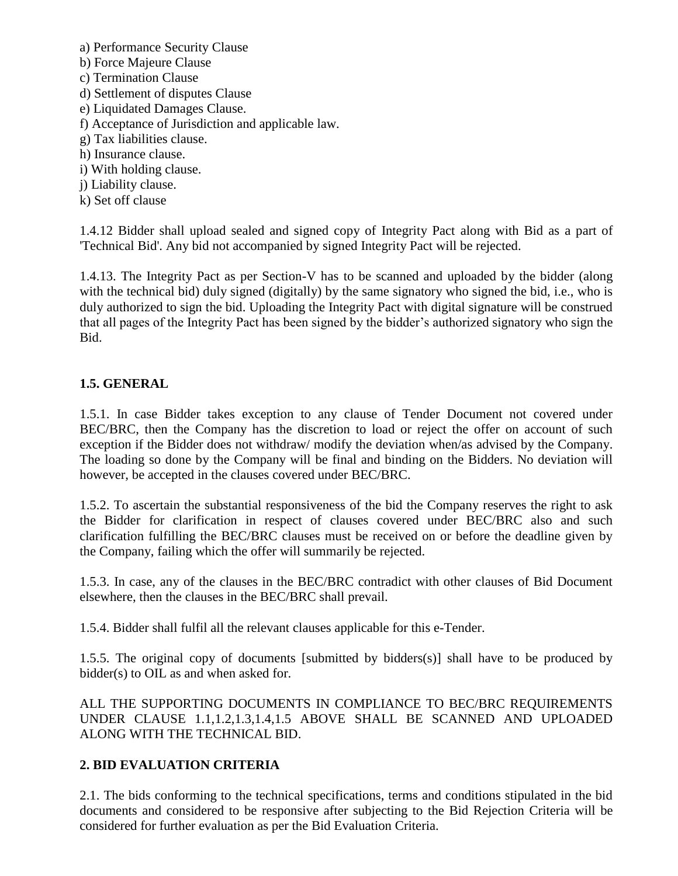- a) Performance Security Clause b) Force Majeure Clause c) Termination Clause d) Settlement of disputes Clause e) Liquidated Damages Clause. f) Acceptance of Jurisdiction and applicable law. g) Tax liabilities clause. h) Insurance clause.
- i) With holding clause.
- j) Liability clause.
- k) Set off clause

1.4.12 Bidder shall upload sealed and signed copy of Integrity Pact along with Bid as a part of 'Technical Bid'. Any bid not accompanied by signed Integrity Pact will be rejected.

1.4.13. The Integrity Pact as per Section-V has to be scanned and uploaded by the bidder (along with the technical bid) duly signed (digitally) by the same signatory who signed the bid, i.e., who is duly authorized to sign the bid. Uploading the Integrity Pact with digital signature will be construed that all pages of the Integrity Pact has been signed by the bidder's authorized signatory who sign the Bid.

## **1.5. GENERAL**

1.5.1. In case Bidder takes exception to any clause of Tender Document not covered under BEC/BRC, then the Company has the discretion to load or reject the offer on account of such exception if the Bidder does not withdraw/ modify the deviation when/as advised by the Company. The loading so done by the Company will be final and binding on the Bidders. No deviation will however, be accepted in the clauses covered under BEC/BRC.

1.5.2. To ascertain the substantial responsiveness of the bid the Company reserves the right to ask the Bidder for clarification in respect of clauses covered under BEC/BRC also and such clarification fulfilling the BEC/BRC clauses must be received on or before the deadline given by the Company, failing which the offer will summarily be rejected.

1.5.3. In case, any of the clauses in the BEC/BRC contradict with other clauses of Bid Document elsewhere, then the clauses in the BEC/BRC shall prevail.

1.5.4. Bidder shall fulfil all the relevant clauses applicable for this e-Tender.

1.5.5. The original copy of documents [submitted by bidders(s)] shall have to be produced by bidder(s) to OIL as and when asked for.

ALL THE SUPPORTING DOCUMENTS IN COMPLIANCE TO BEC/BRC REQUIREMENTS UNDER CLAUSE 1.1,1.2,1.3,1.4,1.5 ABOVE SHALL BE SCANNED AND UPLOADED ALONG WITH THE TECHNICAL BID.

## **2. BID EVALUATION CRITERIA**

2.1. The bids conforming to the technical specifications, terms and conditions stipulated in the bid documents and considered to be responsive after subjecting to the Bid Rejection Criteria will be considered for further evaluation as per the Bid Evaluation Criteria.